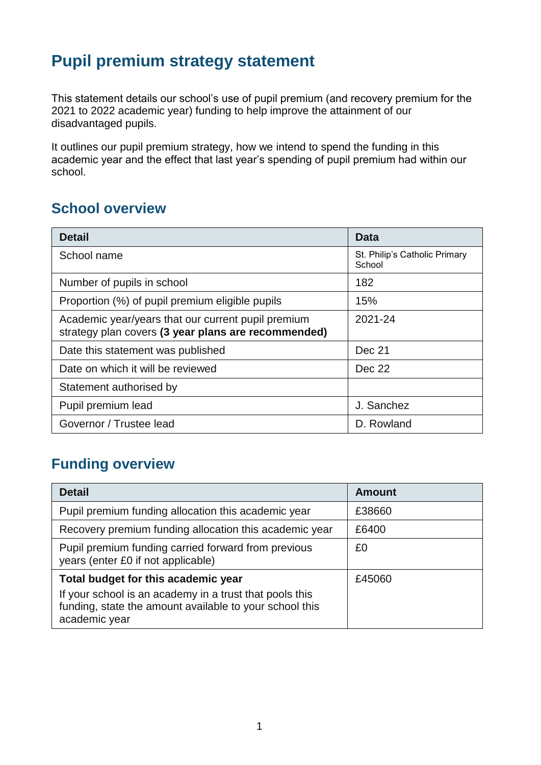# **Pupil premium strategy statement**

This statement details our school's use of pupil premium (and recovery premium for the 2021 to 2022 academic year) funding to help improve the attainment of our disadvantaged pupils.

It outlines our pupil premium strategy, how we intend to spend the funding in this academic year and the effect that last year's spending of pupil premium had within our school.

### **School overview**

| <b>Detail</b>                                                                                             | Data                                    |
|-----------------------------------------------------------------------------------------------------------|-----------------------------------------|
| School name                                                                                               | St. Philip's Catholic Primary<br>School |
| Number of pupils in school                                                                                | 182                                     |
| Proportion (%) of pupil premium eligible pupils                                                           | 15%                                     |
| Academic year/years that our current pupil premium<br>strategy plan covers (3 year plans are recommended) | 2021-24                                 |
| Date this statement was published                                                                         | Dec 21                                  |
| Date on which it will be reviewed                                                                         | Dec 22                                  |
| Statement authorised by                                                                                   |                                         |
| Pupil premium lead                                                                                        | J. Sanchez                              |
| Governor / Trustee lead                                                                                   | D. Rowland                              |

## **Funding overview**

| <b>Detail</b>                                                                                                                       | Amount |
|-------------------------------------------------------------------------------------------------------------------------------------|--------|
| Pupil premium funding allocation this academic year                                                                                 | £38660 |
| Recovery premium funding allocation this academic year                                                                              | £6400  |
| Pupil premium funding carried forward from previous<br>years (enter £0 if not applicable)                                           | £0     |
| Total budget for this academic year                                                                                                 | £45060 |
| If your school is an academy in a trust that pools this<br>funding, state the amount available to your school this<br>academic year |        |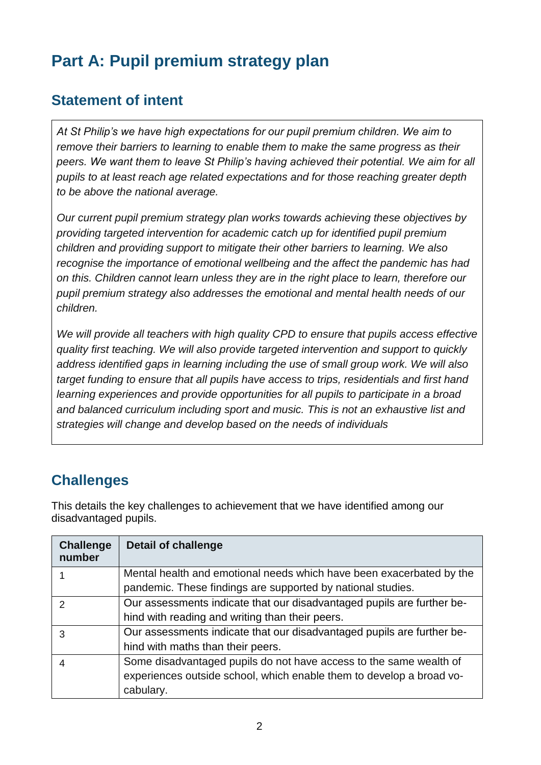# **Part A: Pupil premium strategy plan**

## **Statement of intent**

*At St Philip's we have high expectations for our pupil premium children. We aim to remove their barriers to learning to enable them to make the same progress as their peers. We want them to leave St Philip's having achieved their potential. We aim for all pupils to at least reach age related expectations and for those reaching greater depth to be above the national average.*

*Our current pupil premium strategy plan works towards achieving these objectives by providing targeted intervention for academic catch up for identified pupil premium children and providing support to mitigate their other barriers to learning. We also recognise the importance of emotional wellbeing and the affect the pandemic has had on this. Children cannot learn unless they are in the right place to learn, therefore our pupil premium strategy also addresses the emotional and mental health needs of our children.*

*We will provide all teachers with high quality CPD to ensure that pupils access effective quality first teaching. We will also provide targeted intervention and support to quickly address identified gaps in learning including the use of small group work. We will also target funding to ensure that all pupils have access to trips, residentials and first hand learning experiences and provide opportunities for all pupils to participate in a broad and balanced curriculum including sport and music. This is not an exhaustive list and strategies will change and develop based on the needs of individuals*

## **Challenges**

This details the key challenges to achievement that we have identified among our disadvantaged pupils.

| <b>Challenge</b><br>number | <b>Detail of challenge</b>                                             |
|----------------------------|------------------------------------------------------------------------|
|                            | Mental health and emotional needs which have been exacerbated by the   |
|                            | pandemic. These findings are supported by national studies.            |
| $\mathcal{P}$              | Our assessments indicate that our disadvantaged pupils are further be- |
|                            | hind with reading and writing than their peers.                        |
| 3                          | Our assessments indicate that our disadvantaged pupils are further be- |
|                            | hind with maths than their peers.                                      |
|                            | Some disadvantaged pupils do not have access to the same wealth of     |
|                            | experiences outside school, which enable them to develop a broad vo-   |
|                            | cabulary.                                                              |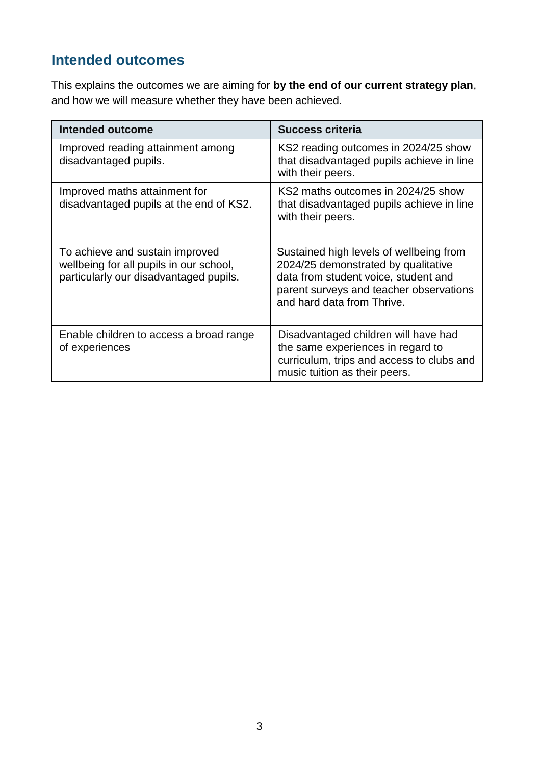## **Intended outcomes**

This explains the outcomes we are aiming for **by the end of our current strategy plan**, and how we will measure whether they have been achieved.

| <b>Intended outcome</b>                                                                                              | <b>Success criteria</b>                                                                                                                                                                         |
|----------------------------------------------------------------------------------------------------------------------|-------------------------------------------------------------------------------------------------------------------------------------------------------------------------------------------------|
| Improved reading attainment among<br>disadvantaged pupils.                                                           | KS2 reading outcomes in 2024/25 show<br>that disadvantaged pupils achieve in line<br>with their peers.                                                                                          |
| Improved maths attainment for<br>disadvantaged pupils at the end of KS2.                                             | KS2 maths outcomes in 2024/25 show<br>that disadvantaged pupils achieve in line<br>with their peers.                                                                                            |
| To achieve and sustain improved<br>wellbeing for all pupils in our school,<br>particularly our disadvantaged pupils. | Sustained high levels of wellbeing from<br>2024/25 demonstrated by qualitative<br>data from student voice, student and<br>parent surveys and teacher observations<br>and hard data from Thrive. |
| Enable children to access a broad range<br>of experiences                                                            | Disadvantaged children will have had<br>the same experiences in regard to<br>curriculum, trips and access to clubs and<br>music tuition as their peers.                                         |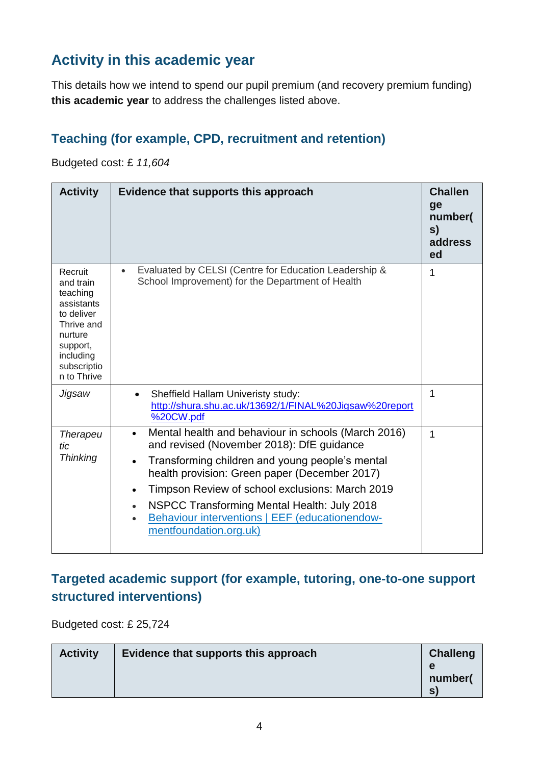## **Activity in this academic year**

This details how we intend to spend our pupil premium (and recovery premium funding) **this academic year** to address the challenges listed above.

#### **Teaching (for example, CPD, recruitment and retention)**

Budgeted cost: £ *11,604*

| <b>Activity</b>                                                                                                                              | Evidence that supports this approach                                                                                                                                                                                                                                                                                                                                                                                      | <b>Challen</b><br>ge<br>number(<br>S)<br>address<br>ed |
|----------------------------------------------------------------------------------------------------------------------------------------------|---------------------------------------------------------------------------------------------------------------------------------------------------------------------------------------------------------------------------------------------------------------------------------------------------------------------------------------------------------------------------------------------------------------------------|--------------------------------------------------------|
| Recruit<br>and train<br>teaching<br>assistants<br>to deliver<br>Thrive and<br>nurture<br>support,<br>including<br>subscriptio<br>n to Thrive | Evaluated by CELSI (Centre for Education Leadership &<br>$\bullet$<br>School Improvement) for the Department of Health                                                                                                                                                                                                                                                                                                    | 1                                                      |
| Jigsaw                                                                                                                                       | Sheffield Hallam Univeristy study:<br>http://shura.shu.ac.uk/13692/1/FINAL%20Jigsaw%20report<br>%20CW.pdf                                                                                                                                                                                                                                                                                                                 | 1                                                      |
| <b>Therapeu</b><br>tic<br><b>Thinking</b>                                                                                                    | Mental health and behaviour in schools (March 2016)<br>and revised (November 2018): DfE guidance<br>Transforming children and young people's mental<br>$\bullet$<br>health provision: Green paper (December 2017)<br>Timpson Review of school exclusions: March 2019<br>$\bullet$<br>NSPCC Transforming Mental Health: July 2018<br>$\bullet$<br>Behaviour interventions   EEF (educationendow-<br>mentfoundation.org.uk) | 1                                                      |

#### **Targeted academic support (for example, tutoring, one-to-one support structured interventions)**

Budgeted cost: £ 25,724

| <b>Activity</b> | Evidence that supports this approach | <b>Challeng</b><br>e<br>number( |
|-----------------|--------------------------------------|---------------------------------|
|                 |                                      | S)                              |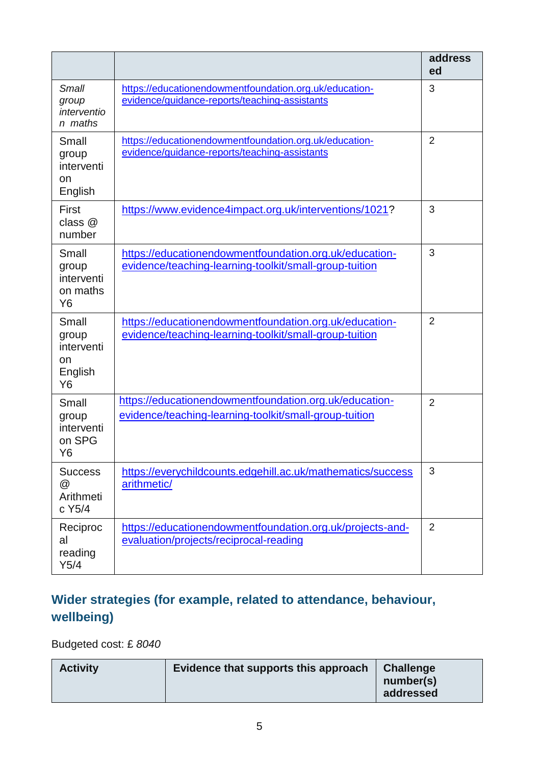|                                                                 |                                                                                                                  | address<br>ed  |
|-----------------------------------------------------------------|------------------------------------------------------------------------------------------------------------------|----------------|
| <b>Small</b><br>group<br>interventio<br>n maths                 | https://educationendowmentfoundation.org.uk/education-<br>evidence/guidance-reports/teaching-assistants          | 3              |
| Small<br>group<br>interventi<br>on<br>English                   | https://educationendowmentfoundation.org.uk/education-<br>evidence/guidance-reports/teaching-assistants          | $\overline{2}$ |
| First<br>class @<br>number                                      | https://www.evidence4impact.org.uk/interventions/1021?                                                           | 3              |
| Small<br>group<br>interventi<br>on maths<br>Y <sub>6</sub>      | https://educationendowmentfoundation.org.uk/education-<br>evidence/teaching-learning-toolkit/small-group-tuition | 3              |
| Small<br>group<br>interventi<br>on<br>English<br>Y <sub>6</sub> | https://educationendowmentfoundation.org.uk/education-<br>evidence/teaching-learning-toolkit/small-group-tuition | $\overline{2}$ |
| Small<br>group<br>interventi<br>on SPG<br>Y6                    | https://educationendowmentfoundation.org.uk/education-<br>evidence/teaching-learning-toolkit/small-group-tuition | $\overline{2}$ |
| <b>Success</b><br>@<br>Arithmeti<br>c Y5/4                      | https://everychildcounts.edgehill.ac.uk/mathematics/success<br>arithmetic/                                       | 3              |
| Reciproc<br>al<br>reading<br>Y5/4                               | https://educationendowmentfoundation.org.uk/projects-and-<br>evaluation/projects/reciprocal-reading              | $\overline{2}$ |

### **Wider strategies (for example, related to attendance, behaviour, wellbeing)**

Budgeted cost: £ *8040*

| Evidence that supports this approach<br><b>Activity</b> | <b>Challenge</b><br>number(s)<br>addressed |
|---------------------------------------------------------|--------------------------------------------|
|---------------------------------------------------------|--------------------------------------------|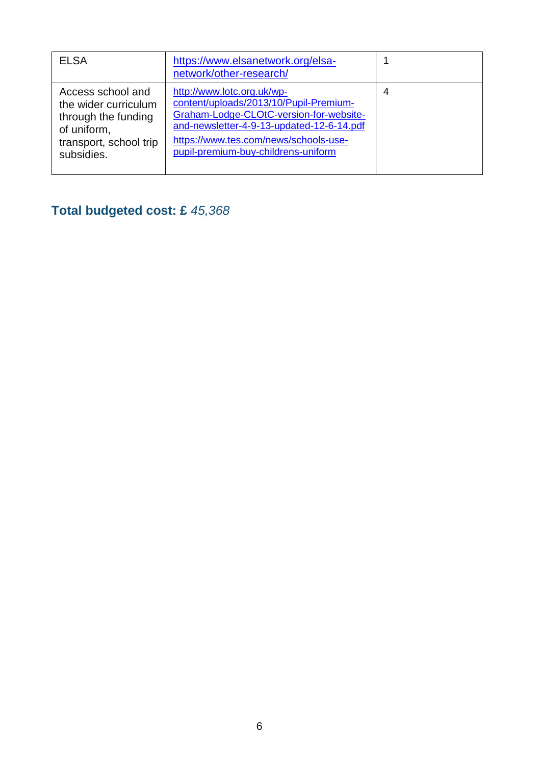| <b>ELSA</b>                                                                                                             | https://www.elsanetwork.org/elsa-<br>network/other-research/                                                                                                                                                                                 |   |
|-------------------------------------------------------------------------------------------------------------------------|----------------------------------------------------------------------------------------------------------------------------------------------------------------------------------------------------------------------------------------------|---|
| Access school and<br>the wider curriculum<br>through the funding<br>of uniform,<br>transport, school trip<br>subsidies. | http://www.lotc.org.uk/wp-<br>content/uploads/2013/10/Pupil-Premium-<br>Graham-Lodge-CLOtC-version-for-website-<br>and-newsletter-4-9-13-updated-12-6-14.pdf<br>https://www.tes.com/news/schools-use-<br>pupil-premium-buy-childrens-uniform | 4 |

# **Total budgeted cost: £** *45,368*